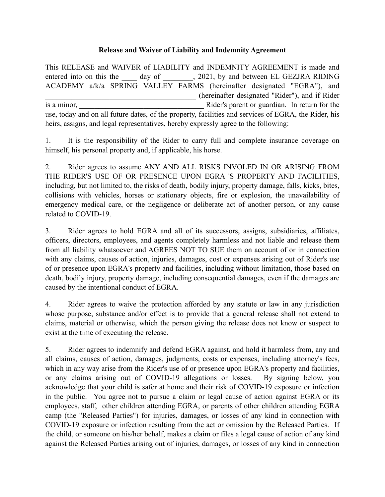## **Release and Waiver of Liability and Indemnity Agreement**

This RELEASE and WAIVER of LIABILITY and INDEMNITY AGREEMENT is made and entered into on this the day of  $\qquad$ , 2021, by and between EL GEZJRA RIDING ACADEMY a/k/a SPRING VALLEY FARMS (hereinafter designated "EGRA"), and \_\_\_\_\_\_\_\_\_\_\_\_\_\_\_\_\_\_\_\_\_\_\_\_\_\_\_\_\_\_\_\_\_\_\_\_\_\_\_\_ (hereinafter designated "Rider"), and if Rider is a minor, and a set of guardian. In return for the same set of guardian. In return for the same set of guardian. use, today and on all future dates, of the property, facilities and services of EGRA, the Rider, his heirs, assigns, and legal representatives, hereby expressly agree to the following:

1. It is the responsibility of the Rider to carry full and complete insurance coverage on himself, his personal property and, if applicable, his horse.

2. Rider agrees to assume ANY AND ALL RISKS INVOLED IN OR ARISING FROM THE RIDER'S USE OF OR PRESENCE UPON EGRA 'S PROPERTY AND FACILITIES, including, but not limited to, the risks of death, bodily injury, property damage, falls, kicks, bites, collisions with vehicles, horses or stationary objects, fire or explosion, the unavailability of emergency medical care, or the negligence or deliberate act of another person, or any cause related to COVID-19.

3. Rider agrees to hold EGRA and all of its successors, assigns, subsidiaries, affiliates, officers, directors, employees, and agents completely harmless and not liable and release them from all liability whatsoever and AGREES NOT TO SUE them on account of or in connection with any claims, causes of action, injuries, damages, cost or expenses arising out of Rider's use of or presence upon EGRA's property and facilities, including without limitation, those based on death, bodily injury, property damage, including consequential damages, even if the damages are caused by the intentional conduct of EGRA.

4. Rider agrees to waive the protection afforded by any statute or law in any jurisdiction whose purpose, substance and/or effect is to provide that a general release shall not extend to claims, material or otherwise, which the person giving the release does not know or suspect to exist at the time of executing the release.

5. Rider agrees to indemnify and defend EGRA against, and hold it harmless from, any and all claims, causes of action, damages, judgments, costs or expenses, including attorney's fees, which in any way arise from the Rider's use of or presence upon EGRA's property and facilities, or any claims arising out of COVID-19 allegations or losses. By signing below, you acknowledge that your child is safer at home and their risk of COVID-19 exposure or infection in the public. You agree not to pursue a claim or legal cause of action against EGRA or its employees, staff, other children attending EGRA, or parents of other children attending EGRA camp (the "Released Parties") for injuries, damages, or losses of any kind in connection with COVID-19 exposure or infection resulting from the act or omission by the Released Parties. If the child, or someone on his/her behalf, makes a claim or files a legal cause of action of any kind against the Released Parties arising out of injuries, damages, or losses of any kind in connection